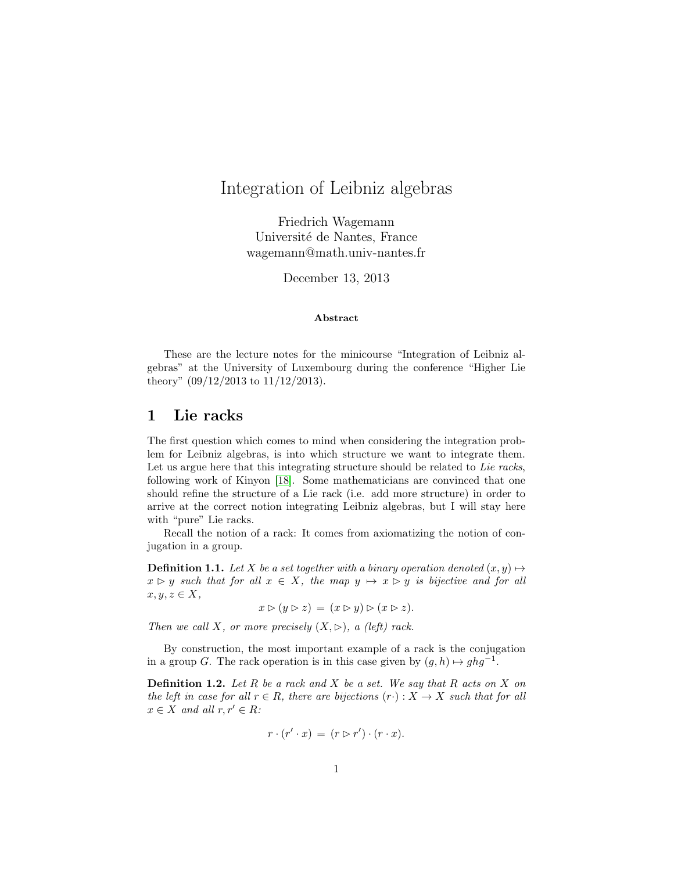# Integration of Leibniz algebras

Friedrich Wagemann Université de Nantes, France wagemann@math.univ-nantes.fr

December 13, 2013

#### Abstract

These are the lecture notes for the minicourse "Integration of Leibniz algebras" at the University of Luxembourg during the conference "Higher Lie theory" (09/12/2013 to 11/12/2013).

## 1 Lie racks

The first question which comes to mind when considering the integration problem for Leibniz algebras, is into which structure we want to integrate them. Let us argue here that this integrating structure should be related to Lie racks, following work of Kinyon [\[18\]](#page-19-0). Some mathematicians are convinced that one should refine the structure of a Lie rack (i.e. add more structure) in order to arrive at the correct notion integrating Leibniz algebras, but I will stay here with "pure" Lie racks.

Recall the notion of a rack: It comes from axiomatizing the notion of conjugation in a group.

**Definition 1.1.** Let X be a set together with a binary operation denoted  $(x, y) \mapsto$  $x \triangleright y$  such that for all  $x \in X$ , the map  $y \mapsto x \triangleright y$  is bijective and for all  $x, y, z \in X$ ,

 $x \triangleright (y \triangleright z) = (x \triangleright y) \triangleright (x \triangleright z).$ 

Then we call X, or more precisely  $(X, \rhd)$ , a (left) rack.

<span id="page-0-0"></span>By construction, the most important example of a rack is the conjugation in a group G. The rack operation is in this case given by  $(g, h) \mapsto ghg^{-1}$ .

**Definition 1.2.** Let R be a rack and X be a set. We say that R acts on X on the left in case for all  $r \in R$ , there are bijections  $(r \cdot) : X \to X$  such that for all  $x \in X$  and all  $r, r' \in R$ :

$$
r \cdot (r' \cdot x) = (r \rhd r') \cdot (r \cdot x).
$$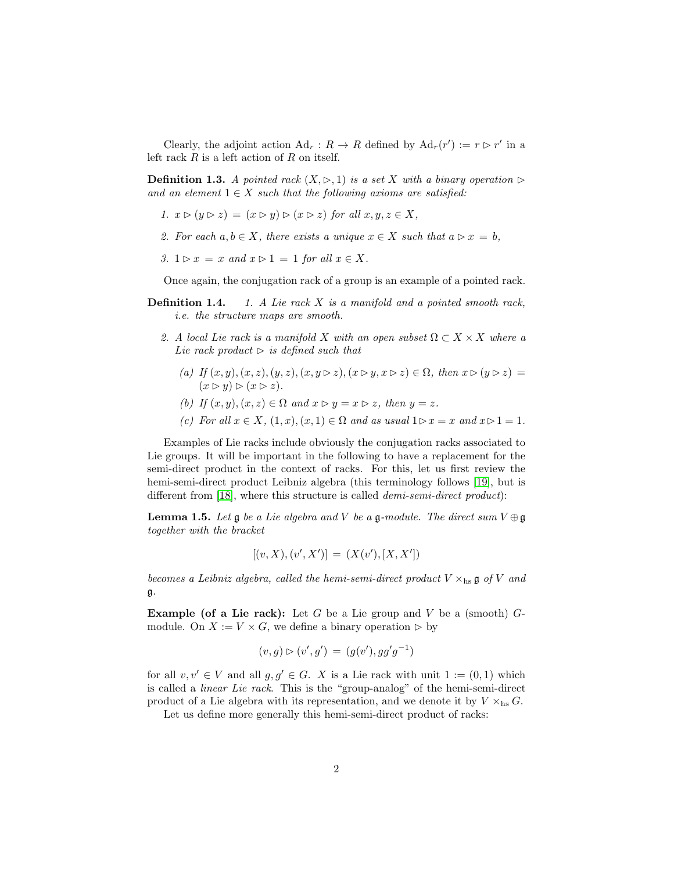Clearly, the adjoint action  $\text{Ad}_r : R \to R$  defined by  $\text{Ad}_r(r') := r \triangleright r'$  in a left rack  $R$  is a left action of  $R$  on itself.

**Definition 1.3.** A pointed rack  $(X, \rhd, 1)$  is a set X with a binary operation  $\rhd$ and an element  $1 \in X$  such that the following axioms are satisfied:

- 1.  $x \triangleright (y \triangleright z) = (x \triangleright y) \triangleright (x \triangleright z)$  for all  $x, y, z \in X$ ,
- 2. For each  $a, b \in X$ , there exists a unique  $x \in X$  such that  $a \triangleright x = b$ ,
- 3.  $1 \triangleright x = x$  and  $x \triangleright 1 = 1$  for all  $x \in X$ .

Once again, the conjugation rack of a group is an example of a pointed rack.

- **Definition 1.4.** 1. A Lie rack  $X$  is a manifold and a pointed smooth rack, i.e. the structure maps are smooth.
	- 2. A local Lie rack is a manifold X with an open subset  $\Omega \subset X \times X$  where a Lie rack product  $\triangleright$  is defined such that
		- (a) If  $(x, y), (x, z), (y, z), (x, y \triangleright z), (x \triangleright y, x \triangleright z) \in \Omega$ , then  $x \triangleright (y \triangleright z) =$  $(x \triangleright y) \triangleright (x \triangleright z).$
		- (b) If  $(x, y), (x, z) \in \Omega$  and  $x \triangleright y = x \triangleright z$ , then  $y = z$ .
		- (c) For all  $x \in X$ ,  $(1, x)$ ,  $(x, 1) \in \Omega$  and as usual  $1 \triangleright x = x$  and  $x \triangleright 1 = 1$ .

Examples of Lie racks include obviously the conjugation racks associated to Lie groups. It will be important in the following to have a replacement for the semi-direct product in the context of racks. For this, let us first review the hemi-semi-direct product Leibniz algebra (this terminology follows [\[19\]](#page-19-1), but is different from [\[18\]](#page-19-0), where this structure is called *demi-semi-direct product*):

**Lemma 1.5.** Let  $\mathfrak{g}$  be a Lie algebra and V be a  $\mathfrak{g}$ -module. The direct sum  $V \oplus \mathfrak{g}$ together with the bracket

$$
[(v, X), (v', X')] = (X(v'), [X, X'])
$$

becomes a Leibniz algebra, called the hemi-semi-direct product  $V \times$ hs  $\mathfrak{g}$  of V and g.

**Example (of a Lie rack):** Let G be a Lie group and V be a (smooth)  $G$ module. On  $X := V \times G$ , we define a binary operation ⊳ by

$$
(v,g) \triangleright (v',g') = (g(v'), gg'g^{-1})
$$

for all  $v, v' \in V$  and all  $g, g' \in G$ . X is a Lie rack with unit  $1 := (0, 1)$  which is called a linear Lie rack. This is the "group-analog" of the hemi-semi-direct product of a Lie algebra with its representation, and we denote it by  $V \times_{\text{hs}} G$ .

Let us define more generally this hemi-semi-direct product of racks: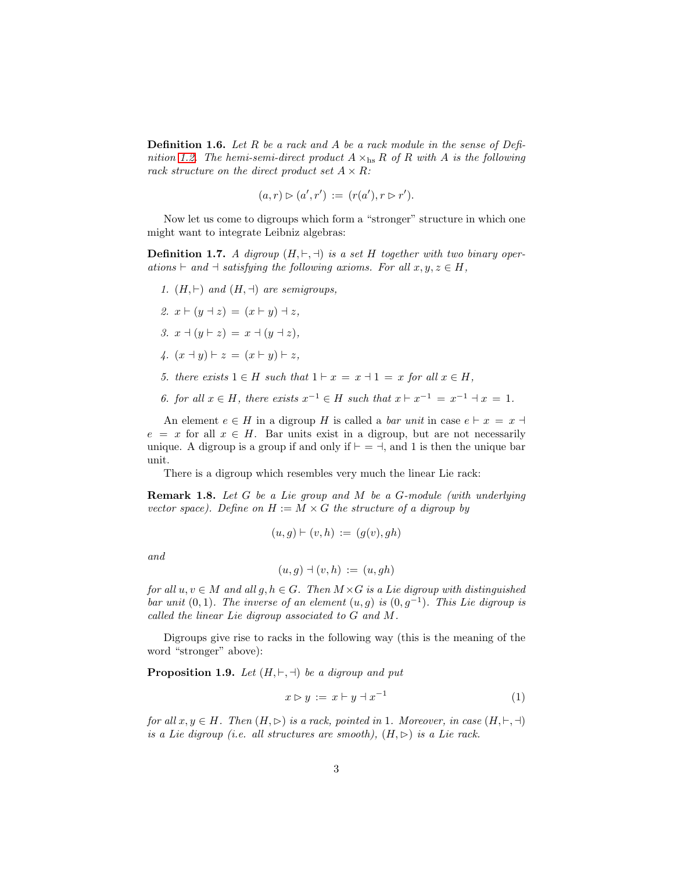**Definition 1.6.** Let R be a rack and A be a rack module in the sense of Defi-nition [1.2.](#page-0-0) The hemi-semi-direct product  $A \times_{\text{hs}} R$  of R with A is the following rack structure on the direct product set  $A \times R$ :

$$
(a,r) \triangleright (a',r') := (r(a'), r \triangleright r').
$$

Now let us come to digroups which form a "stronger" structure in which one might want to integrate Leibniz algebras:

**Definition 1.7.** A digroup  $(H, \vdash, \dashv)$  is a set H together with two binary operations  $\vdash$  and  $\vdash$  satisfying the following axioms. For all  $x, y, z \in H$ ,

- 1.  $(H, \vdash)$  and  $(H, \dashv)$  are semigroups, 2.  $x \vdash (y \dashv z) = (x \vdash y) \dashv z$ , 3.  $x \dashv (y \vdash z) = x \dashv (y \dashv z),$ 4.  $(x - y)$  ⊢ z =  $(x ⊢ y)$  ⊢ z,
- 5. there exists  $1 \in H$  such that  $1 \vdash x = x \dashv 1 = x$  for all  $x \in H$ .
- 6. for all  $x \in H$ , there exists  $x^{-1} \in H$  such that  $x \vdash x^{-1} = x^{-1} \dashv x = 1$ .

An element  $e \in H$  in a digroup H is called a *bar unit* in case  $e \vdash x = x \dashv$  $e = x$  for all  $x \in H$ . Bar units exist in a digroup, but are not necessarily unique. A digroup is a group if and only if  $\vdash$  = ⊣, and 1 is then the unique bar unit.

<span id="page-2-0"></span>There is a digroup which resembles very much the linear Lie rack:

Remark 1.8. Let G be a Lie group and M be a G-module (with underlying vector space). Define on  $H := M \times G$  the structure of a digroup by

$$
(u,g)\vdash(v,h):=(g(v),gh)
$$

and

$$
(u,g) \dashv (v,h) := (u,gh)
$$

for all  $u, v \in M$  and all  $g, h \in G$ . Then  $M \times G$  is a Lie digroup with distinguished bar unit  $(0,1)$ . The inverse of an element  $(u, g)$  is  $(0, g^{-1})$ . This Lie digroup is called the linear Lie digroup associated to G and M.

Digroups give rise to racks in the following way (this is the meaning of the word "stronger" above):

**Proposition 1.9.** Let  $(H, \vdash, \dashv)$  be a digroup and put

$$
x \triangleright y := x \vdash y \dashv x^{-1} \tag{1}
$$

for all  $x, y \in H$ . Then  $(H, \triangleright)$  is a rack, pointed in 1. Moreover, in case  $(H, \vdash, \dashv)$ is a Lie digroup (i.e. all structures are smooth),  $(H, \triangleright)$  is a Lie rack.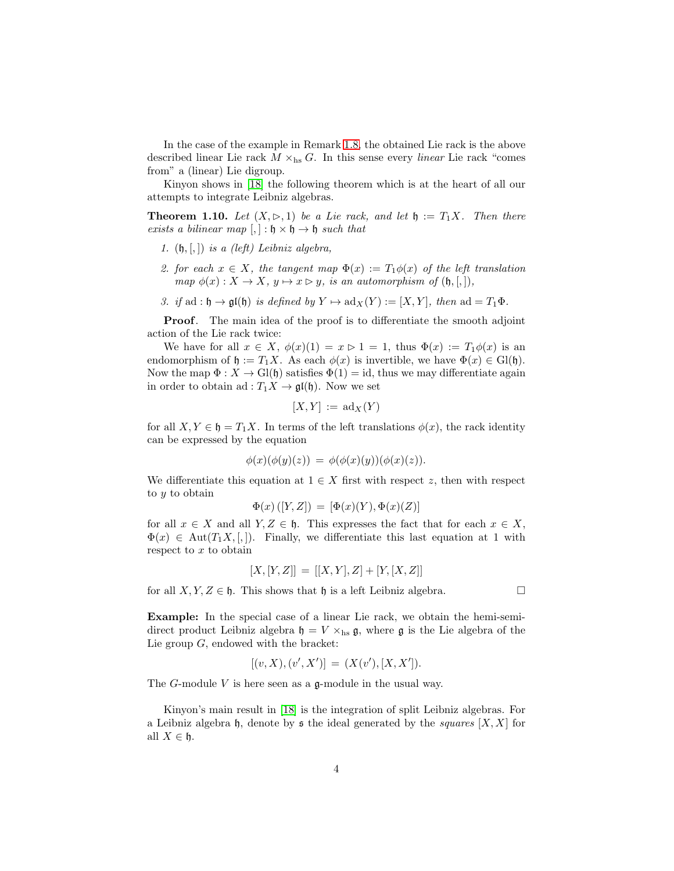In the case of the example in Remark [1.8,](#page-2-0) the obtained Lie rack is the above described linear Lie rack  $M \times_{\text{hs}} G$ . In this sense every linear Lie rack "comes from" a (linear) Lie digroup.

Kinyon shows in [\[18\]](#page-19-0) the following theorem which is at the heart of all our attempts to integrate Leibniz algebras.

**Theorem 1.10.** Let  $(X, \rhd, 1)$  be a Lie rack, and let  $\mathfrak{h} := T_1 X$ . Then there exists a bilinear map  $[,]: \mathfrak{h} \times \mathfrak{h} \rightarrow \mathfrak{h}$  such that

- 1.  $(\mathfrak{h}, \lbrack, \rbrack)$  is a (left) Leibniz algebra,
- 2. for each  $x \in X$ , the tangent map  $\Phi(x) := T_1 \phi(x)$  of the left translation map  $\phi(x) : X \to X$ ,  $y \mapsto x \triangleright y$ , is an automorphism of  $(\mathfrak{h}, [,]),$
- 3. if ad :  $\mathfrak{h} \to \mathfrak{gl}(\mathfrak{h})$  is defined by  $Y \mapsto \mathrm{ad}_X(Y) := [X, Y]$ , then  $\mathrm{ad} = T_1 \Phi$ .

Proof. The main idea of the proof is to differentiate the smooth adjoint action of the Lie rack twice:

We have for all  $x \in X$ ,  $\phi(x)(1) = x > 1 = 1$ , thus  $\Phi(x) := T_1 \phi(x)$  is an endomorphism of  $\mathfrak{h} := T_1 X$ . As each  $\phi(x)$  is invertible, we have  $\Phi(x) \in Gl(\mathfrak{h})$ . Now the map  $\Phi: X \to Gl(\mathfrak{h})$  satisfies  $\Phi(1) = id$ , thus we may differentiate again in order to obtain ad :  $T_1X \to \mathfrak{gl}(\mathfrak{h})$ . Now we set

$$
[X,Y] := \mathrm{ad}_X(Y)
$$

for all  $X, Y \in \mathfrak{h} = T_1 X$ . In terms of the left translations  $\phi(x)$ , the rack identity can be expressed by the equation

$$
\phi(x)(\phi(y)(z)) = \phi(\phi(x)(y))(\phi(x)(z)).
$$

We differentiate this equation at  $1 \in X$  first with respect z, then with respect to y to obtain

$$
\Phi(x) ([Y, Z]) = [\Phi(x)(Y), \Phi(x)(Z)]
$$

for all  $x \in X$  and all  $Y, Z \in \mathfrak{h}$ . This expresses the fact that for each  $x \in X$ ,  $\Phi(x) \in \text{Aut}(T_1X, [,])$ . Finally, we differentiate this last equation at 1 with respect to x to obtain

$$
[X,[Y,Z]] = [[X,Y],Z] + [Y,[X,Z]]
$$

for all  $X, Y, Z \in \mathfrak{h}$ . This shows that  $\mathfrak{h}$  is a left Leibniz algebra.

Example: In the special case of a linear Lie rack, we obtain the hemi-semidirect product Leibniz algebra  $\mathfrak{h} = V \times_{\text{hs}} \mathfrak{g}$ , where  $\mathfrak{g}$  is the Lie algebra of the Lie group G, endowed with the bracket:

$$
[(v, X), (v', X')] = (X(v'), [X, X']).
$$

The  $G$ -module  $V$  is here seen as a  $\mathfrak{g}$ -module in the usual way.

Kinyon's main result in [\[18\]](#page-19-0) is the integration of split Leibniz algebras. For a Leibniz algebra h, denote by s the ideal generated by the squares  $[X, X]$  for all  $X \in \mathfrak{h}$ .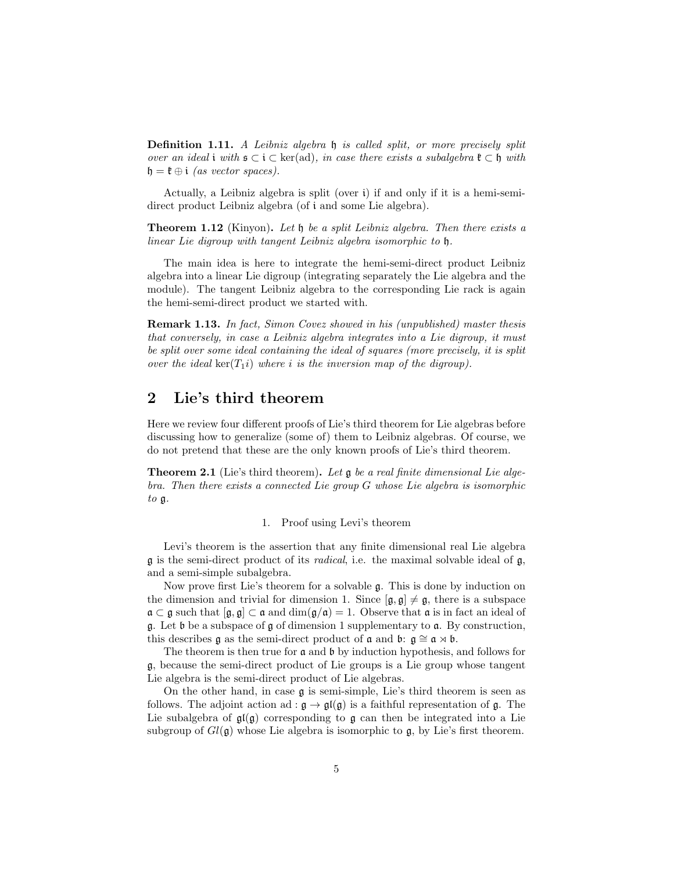Definition 1.11. A Leibniz algebra h is called split, or more precisely split over an ideal i with  $\mathfrak{s} \subset \mathfrak{i} \subset \text{ker}(\text{ad})$ , in case there exists a subalgebra  $\mathfrak{k} \subset \mathfrak{h}$  with  $\mathfrak{h} = \mathfrak{k} \oplus \mathfrak{i}$  (as vector spaces).

Actually, a Leibniz algebra is split (over i) if and only if it is a hemi-semidirect product Leibniz algebra (of i and some Lie algebra).

Theorem 1.12 (Kinyon). Let  $\mathfrak h$  be a split Leibniz algebra. Then there exists a linear Lie digroup with tangent Leibniz algebra isomorphic to h.

The main idea is here to integrate the hemi-semi-direct product Leibniz algebra into a linear Lie digroup (integrating separately the Lie algebra and the module). The tangent Leibniz algebra to the corresponding Lie rack is again the hemi-semi-direct product we started with.

Remark 1.13. In fact, Simon Covez showed in his (unpublished) master thesis that conversely, in case a Leibniz algebra integrates into a Lie digroup, it must be split over some ideal containing the ideal of squares (more precisely, it is split over the ideal  $\ker(T_1i)$  where i is the inversion map of the digroup).

## 2 Lie's third theorem

Here we review four different proofs of Lie's third theorem for Lie algebras before discussing how to generalize (some of) them to Leibniz algebras. Of course, we do not pretend that these are the only known proofs of Lie's third theorem.

Theorem 2.1 (Lie's third theorem). Let g be a real finite dimensional Lie algebra. Then there exists a connected Lie group G whose Lie algebra is isomorphic to g.

#### 1. Proof using Levi's theorem

Levi's theorem is the assertion that any finite dimensional real Lie algebra  $\mathfrak g$  is the semi-direct product of its *radical*, i.e. the maximal solvable ideal of  $\mathfrak g$ , and a semi-simple subalgebra.

Now prove first Lie's theorem for a solvable g. This is done by induction on the dimension and trivial for dimension 1. Since  $[g, g] \neq g$ , there is a subspace  $\mathfrak{a} \subset \mathfrak{g}$  such that  $[\mathfrak{g}, \mathfrak{g}] \subset \mathfrak{a}$  and  $\dim(\mathfrak{g}/\mathfrak{a}) = 1$ . Observe that  $\mathfrak{a}$  is in fact an ideal of g. Let b be a subspace of g of dimension 1 supplementary to a. By construction, this describes g as the semi-direct product of  $\mathfrak{a}$  and  $\mathfrak{b}: \mathfrak{g} \cong \mathfrak{a} \rtimes \mathfrak{b}$ .

The theorem is then true for a and b by induction hypothesis, and follows for g, because the semi-direct product of Lie groups is a Lie group whose tangent Lie algebra is the semi-direct product of Lie algebras.

On the other hand, in case  $\mathfrak g$  is semi-simple, Lie's third theorem is seen as follows. The adjoint action ad :  $\mathfrak{g} \to \mathfrak{gl}(\mathfrak{g})$  is a faithful representation of  $\mathfrak{g}$ . The Lie subalgebra of  $\mathfrak{gl}(\mathfrak{g})$  corresponding to  $\mathfrak{g}$  can then be integrated into a Lie subgroup of  $Gl(\mathfrak{g})$  whose Lie algebra is isomorphic to  $\mathfrak{g}$ , by Lie's first theorem.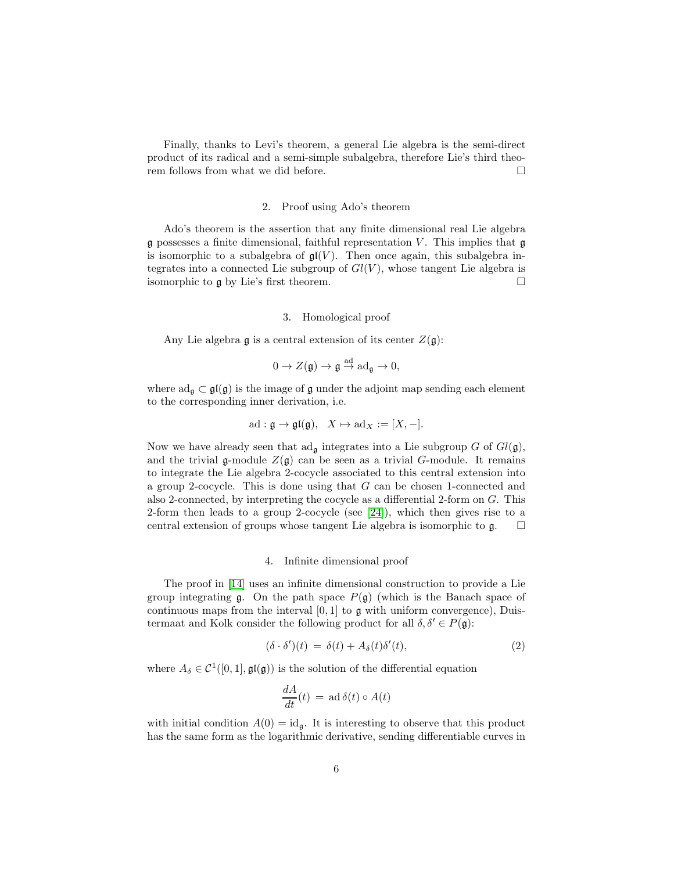Finally, thanks to Levi's theorem, a general Lie algebra is the semi-direct product of its radical and a semi-simple subalgebra, therefore Lie's third theorem follows from what we did before.  $\Box$ 

#### 2. Proof using Ado's theorem

Ado's theorem is the assertion that any finite dimensional real Lie algebra  $\mathfrak g$  possesses a finite dimensional, faithful representation V. This implies that  $\mathfrak g$ is isomorphic to a subalgebra of  $\mathfrak{gl}(V)$ . Then once again, this subalgebra integrates into a connected Lie subgroup of  $Gl(V)$ , whose tangent Lie algebra is isomorphic to  $\mathfrak g$  by Lie's first theorem.

#### 3. Homological proof

Any Lie algebra  $\mathfrak g$  is a central extension of its center  $Z(\mathfrak g)$ :

$$
0 \to Z(\mathfrak{g}) \to \mathfrak{g} \stackrel{\text{ad}}{\to} \mathrm{ad}_{\mathfrak{g}} \to 0,
$$

where  $ad_{\mathfrak{g}} \subset \mathfrak{gl}(\mathfrak{g})$  is the image of  $\mathfrak g$  under the adjoint map sending each element to the corresponding inner derivation, i.e.

$$
ad: \mathfrak{g} \to \mathfrak{gl}(\mathfrak{g}), \quad X \mapsto ad_X := [X, -].
$$

Now we have already seen that  $ad_{\mathfrak{g}}$  integrates into a Lie subgroup G of  $Gl(\mathfrak{g})$ , and the trivial g-module  $Z(\mathfrak{g})$  can be seen as a trivial G-module. It remains to integrate the Lie algebra 2-cocycle associated to this central extension into a group 2-cocycle. This is done using that G can be chosen 1-connected and also 2-connected, by interpreting the cocycle as a differential 2-form on G. This 2-form then leads to a group 2-cocycle (see [\[24\]](#page-19-2)), which then gives rise to a central extension of groups whose tangent Lie algebra is isomorphic to  $\mathfrak{g}$ .  $\Box$ 

#### 4. Infinite dimensional proof

The proof in [\[14\]](#page-18-0) uses an infinite dimensional construction to provide a Lie group integrating  $\mathfrak g$ . On the path space  $P(\mathfrak g)$  (which is the Banach space of continuous maps from the interval  $[0, 1]$  to  $\mathfrak g$  with uniform convergence), Duistermaat and Kolk consider the following product for all  $\delta, \delta' \in P(\mathfrak{g})$ :

$$
(\delta \cdot \delta')(t) = \delta(t) + A_{\delta}(t)\delta'(t), \qquad (2)
$$

where  $A_{\delta} \in \mathcal{C}^1([0,1], \mathfrak{gl}(\mathfrak{g}))$  is the solution of the differential equation

<span id="page-5-0"></span>
$$
\frac{dA}{dt}(t) = \operatorname{ad} \delta(t) \circ A(t)
$$

with initial condition  $A(0) = id_{\mathfrak{g}}$ . It is interesting to observe that this product has the same form as the logarithmic derivative, sending differentiable curves in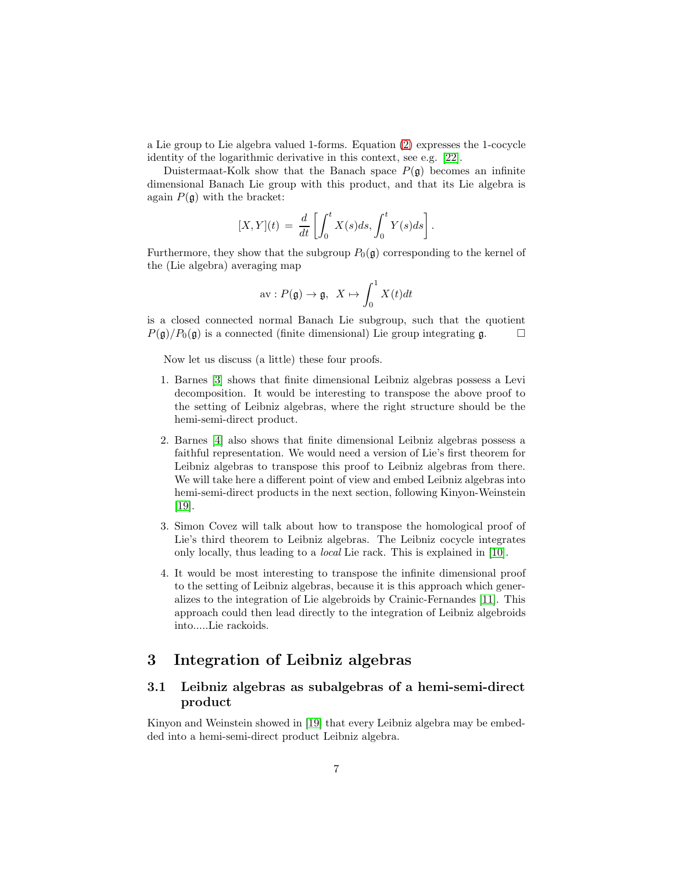a Lie group to Lie algebra valued 1-forms. Equation [\(2\)](#page-5-0) expresses the 1-cocycle identity of the logarithmic derivative in this context, see e.g. [\[22\]](#page-19-3).

Duistermaat-Kolk show that the Banach space  $P(\mathfrak{g})$  becomes an infinite dimensional Banach Lie group with this product, and that its Lie algebra is again  $P(\mathfrak{g})$  with the bracket:

$$
[X,Y](t) = \frac{d}{dt} \left[ \int_0^t X(s)ds, \int_0^t Y(s)ds \right].
$$

Furthermore, they show that the subgroup  $P_0(\mathfrak{g})$  corresponding to the kernel of the (Lie algebra) averaging map

$$
\text{av}: P(\mathfrak{g}) \to \mathfrak{g}, \ \ X \mapsto \int_0^1 X(t)dt
$$

is a closed connected normal Banach Lie subgroup, such that the quotient  $P(\mathfrak{g})/P_0(\mathfrak{g})$  is a connected (finite dimensional) Lie group integrating  $\mathfrak{g}$ .

Now let us discuss (a little) these four proofs.

- 1. Barnes [\[3\]](#page-18-1) shows that finite dimensional Leibniz algebras possess a Levi decomposition. It would be interesting to transpose the above proof to the setting of Leibniz algebras, where the right structure should be the hemi-semi-direct product.
- 2. Barnes [\[4\]](#page-18-2) also shows that finite dimensional Leibniz algebras possess a faithful representation. We would need a version of Lie's first theorem for Leibniz algebras to transpose this proof to Leibniz algebras from there. We will take here a different point of view and embed Leibniz algebras into hemi-semi-direct products in the next section, following Kinyon-Weinstein [\[19\]](#page-19-1).
- 3. Simon Covez will talk about how to transpose the homological proof of Lie's third theorem to Leibniz algebras. The Leibniz cocycle integrates only locally, thus leading to a local Lie rack. This is explained in [\[10\]](#page-18-3).
- 4. It would be most interesting to transpose the infinite dimensional proof to the setting of Leibniz algebras, because it is this approach which generalizes to the integration of Lie algebroids by Crainic-Fernandes [\[11\]](#page-18-4). This approach could then lead directly to the integration of Leibniz algebroids into.....Lie rackoids.

### 3 Integration of Leibniz algebras

### 3.1 Leibniz algebras as subalgebras of a hemi-semi-direct product

Kinyon and Weinstein showed in [\[19\]](#page-19-1) that every Leibniz algebra may be embedded into a hemi-semi-direct product Leibniz algebra.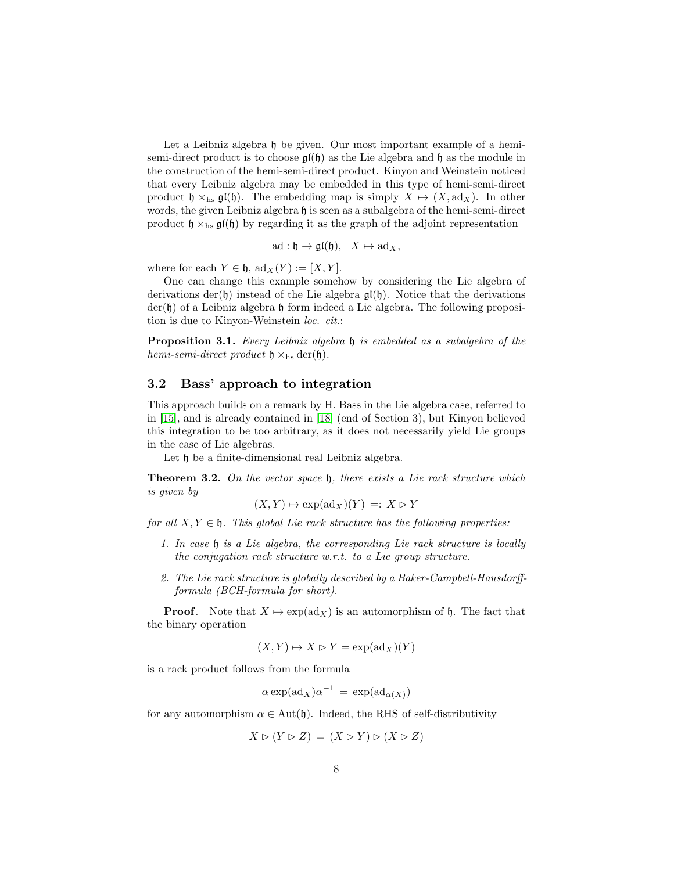Let a Leibniz algebra h be given. Our most important example of a hemisemi-direct product is to choose  $\mathfrak{gl}(\mathfrak{h})$  as the Lie algebra and  $\mathfrak{h}$  as the module in the construction of the hemi-semi-direct product. Kinyon and Weinstein noticed that every Leibniz algebra may be embedded in this type of hemi-semi-direct product  $\mathfrak{h} \times_{\text{hs}} \mathfrak{gl}(\mathfrak{h})$ . The embedding map is simply  $X \mapsto (X, \text{ad}_X)$ . In other words, the given Leibniz algebra  $\mathfrak h$  is seen as a subalgebra of the hemi-semi-direct product  $\mathfrak{h} \times_{\text{hs}} \mathfrak{gl}(\mathfrak{h})$  by regarding it as the graph of the adjoint representation

$$
\mathrm{ad}:\mathfrak{h}\to\mathfrak{gl}(\mathfrak{h}),\quad X\mapsto\mathrm{ad}_X,
$$

where for each  $Y \in \mathfrak{h}$ ,  $\mathrm{ad}_X(Y) := [X, Y]$ .

One can change this example somehow by considering the Lie algebra of derivations der(h) instead of the Lie algebra  $\mathfrak{gl}(\mathfrak{h})$ . Notice that the derivations der(h) of a Leibniz algebra h form indeed a Lie algebra. The following proposition is due to Kinyon-Weinstein loc. cit.:

Proposition 3.1. Every Leibniz algebra h is embedded as a subalgebra of the hemi-semi-direct product  $\mathfrak{h} \times_{\text{hs}} \text{der}(\mathfrak{h})$ .

#### 3.2 Bass' approach to integration

This approach builds on a remark by H. Bass in the Lie algebra case, referred to in [\[15\]](#page-18-5), and is already contained in [\[18\]](#page-19-0) (end of Section 3), but Kinyon believed this integration to be too arbitrary, as it does not necessarily yield Lie groups in the case of Lie algebras.

Let  $\mathfrak h$  be a finite-dimensional real Leibniz algebra.

Theorem 3.2. On the vector space  $\mathfrak{h}$ , there exists a Lie rack structure which is given by

$$
(X,Y)\mapsto \exp(\mathrm{ad}_X)(Y)\,=: \,X\vartriangleright Y
$$

for all  $X, Y \in \mathfrak{h}$ . This global Lie rack structure has the following properties:

- 1. In case h is a Lie algebra, the corresponding Lie rack structure is locally the conjugation rack structure w.r.t. to a Lie group structure.
- 2. The Lie rack structure is globally described by a Baker-Campbell-Hausdorffformula (BCH-formula for short).

**Proof.** Note that  $X \mapsto \exp(\text{ad}_X)$  is an automorphism of h. The fact that the binary operation

$$
(X,Y)\mapsto X\vartriangleright Y=\exp(\mathrm{ad}_X)(Y)
$$

is a rack product follows from the formula

$$
\alpha \exp(\operatorname{ad}_X)\alpha^{-1} = \exp(\operatorname{ad}_{\alpha(X)})
$$

for any automorphism  $\alpha \in \text{Aut}(\mathfrak{h})$ . Indeed, the RHS of self-distributivity

$$
X \triangleright (Y \triangleright Z) = (X \triangleright Y) \triangleright (X \triangleright Z)
$$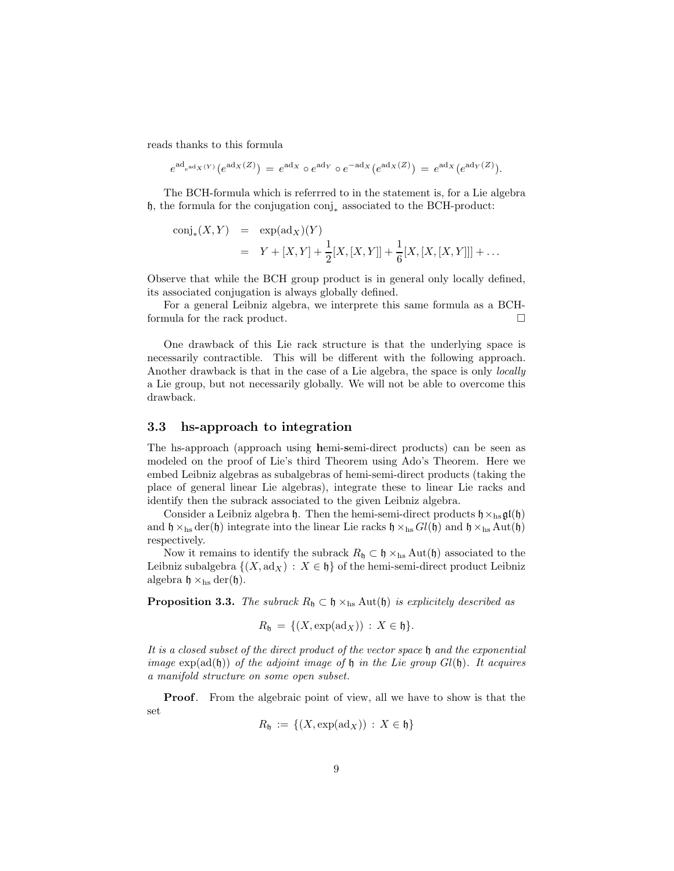reads thanks to this formula

$$
e^{\mathrm{ad}_{e^{\mathrm{ad}_{X}(Y)}}}(e^{\mathrm{ad}_{X}(Z)}) = e^{\mathrm{ad}_{X}} \circ e^{\mathrm{ad}_{Y}} \circ e^{-\mathrm{ad}_{X}}(e^{\mathrm{ad}_{X}(Z)}) = e^{\mathrm{ad}_{X}}(e^{\mathrm{ad}_{Y}(Z)}).
$$

The BCH-formula which is referrred to in the statement is, for a Lie algebra h, the formula for the conjugation conj<sup>∗</sup> associated to the BCH-product:

$$
conj_*(X,Y) = \exp(\mathrm{ad}_X)(Y)
$$
  
=  $Y + [X,Y] + \frac{1}{2}[X,[X,Y]] + \frac{1}{6}[X,[X,[X,Y]]] + \dots$ 

Observe that while the BCH group product is in general only locally defined, its associated conjugation is always globally defined.

For a general Leibniz algebra, we interprete this same formula as a BCHformula for the rack product.

One drawback of this Lie rack structure is that the underlying space is necessarily contractible. This will be different with the following approach. Another drawback is that in the case of a Lie algebra, the space is only *locally* a Lie group, but not necessarily globally. We will not be able to overcome this drawback.

#### 3.3 hs-approach to integration

The hs-approach (approach using hemi-semi-direct products) can be seen as modeled on the proof of Lie's third Theorem using Ado's Theorem. Here we embed Leibniz algebras as subalgebras of hemi-semi-direct products (taking the place of general linear Lie algebras), integrate these to linear Lie racks and identify then the subrack associated to the given Leibniz algebra.

Consider a Leibniz algebra  $\mathfrak h$ . Then the hemi-semi-direct products  $\mathfrak h \times_{\text{hs}} \mathfrak{gl}(\mathfrak h)$ and  $\mathfrak{h} \times_{\text{hs}} \text{der}(\mathfrak{h})$  integrate into the linear Lie racks  $\mathfrak{h} \times_{\text{hs}} Gl(\mathfrak{h})$  and  $\mathfrak{h} \times_{\text{hs}} \text{Aut}(\mathfrak{h})$ respectively.

Now it remains to identify the subrack  $R_h \subset \mathfrak{h} \times_{\text{hs}} \text{Aut}(\mathfrak{h})$  associated to the Leibniz subalgebra  $\{(X, \text{ad}_X) : X \in \mathfrak{h}\}\$  of the hemi-semi-direct product Leibniz algebra  $\mathfrak{h} \times_{\text{hs}} \text{der}(\mathfrak{h}).$ 

**Proposition 3.3.** The subrack  $R_{\mathfrak{h}} \subset \mathfrak{h} \times_{\text{hs}} \text{Aut}(\mathfrak{h})$  is explicitely described as

$$
R_{\mathfrak{h}} = \{ (X, \exp(\mathrm{ad}_X)) : X \in \mathfrak{h} \}.
$$

It is a closed subset of the direct product of the vector space h and the exponential image  $\exp(\text{ad}(\mathfrak{h}))$  of the adjoint image of  $\mathfrak h$  in the Lie group  $Gl(\mathfrak{h})$ . It acquires a manifold structure on some open subset.

Proof. From the algebraic point of view, all we have to show is that the set

$$
R_{\mathfrak{h}} := \{ (X, \exp(\mathrm{ad}_X)) : X \in \mathfrak{h} \}
$$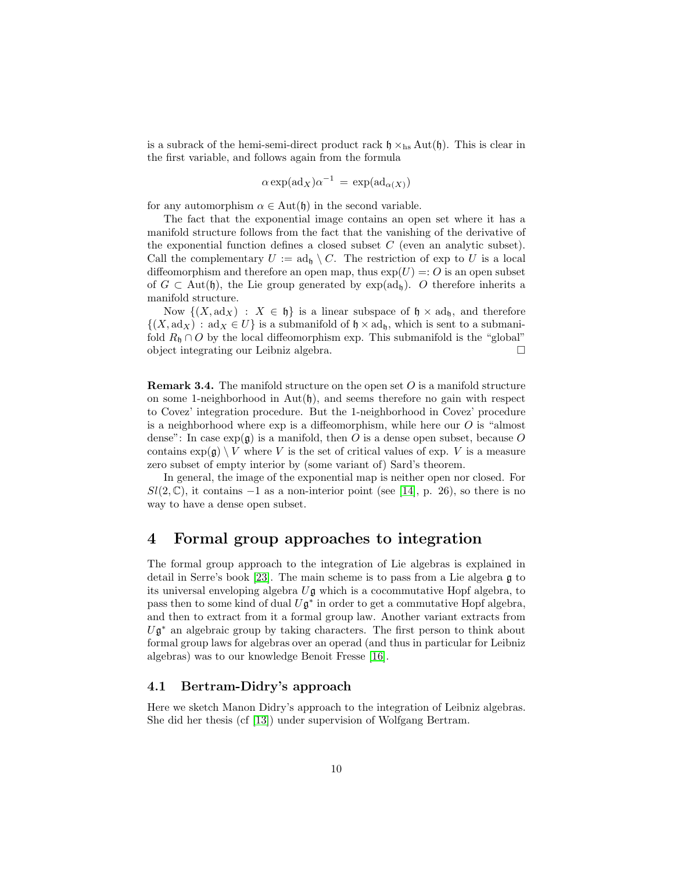is a subrack of the hemi-semi-direct product rack  $\mathfrak{h} \times_{\text{hs}} \text{Aut}(\mathfrak{h})$ . This is clear in the first variable, and follows again from the formula

$$
\alpha \exp(\operatorname{ad}_X)\alpha^{-1} = \exp(\operatorname{ad}_{\alpha(X)})
$$

for any automorphism  $\alpha \in \text{Aut}(\mathfrak{h})$  in the second variable.

The fact that the exponential image contains an open set where it has a manifold structure follows from the fact that the vanishing of the derivative of the exponential function defines a closed subset  $C$  (even an analytic subset). Call the complementary  $U := \operatorname{ad}_{\mathfrak{h}} \setminus C$ . The restriction of exp to U is a local diffeomorphism and therefore an open map, thus  $exp(U) =: O$  is an open subset of  $G \subset \text{Aut}(\mathfrak{h})$ , the Lie group generated by  $\exp(\text{ad}_{\mathfrak{h}})$ . O therefore inherits a manifold structure.

Now  $\{(X, \text{ad}_X) : X \in \mathfrak{h}\}\$ is a linear subspace of  $\mathfrak{h} \times \text{ad}_{\mathfrak{h}}\}$ , and therefore  $\{(X, \text{ad}_X) : \text{ad}_X \in U\}$  is a submanifold of  $\mathfrak{h} \times \text{ad}_{\mathfrak{h}}$ , which is sent to a submanifold  $R_{\mathfrak{h}} \cap O$  by the local diffeomorphism exp. This submanifold is the "global" object integrating our Leibniz algebra.

**Remark 3.4.** The manifold structure on the open set  $O$  is a manifold structure on some 1-neighborhood in  $Aut(\mathfrak{h})$ , and seems therefore no gain with respect to Covez' integration procedure. But the 1-neighborhood in Covez' procedure is a neighborhood where  $\exp$  is a diffeomorphism, while here our O is "almost" dense": In case  $\exp(\mathfrak{g})$  is a manifold, then O is a dense open subset, because O contains  $\exp(\mathfrak{g}) \setminus V$  where V is the set of critical values of exp. V is a measure zero subset of empty interior by (some variant of) Sard's theorem.

In general, the image of the exponential map is neither open nor closed. For  $Sl(2,\mathbb{C})$ , it contains  $-1$  as a non-interior point (see [\[14\]](#page-18-0), p. 26), so there is no way to have a dense open subset.

## 4 Formal group approaches to integration

The formal group approach to the integration of Lie algebras is explained in detail in Serre's book [\[23\]](#page-19-4). The main scheme is to pass from a Lie algebra  $\mathfrak g$  to its universal enveloping algebra  $U\mathfrak{g}$  which is a cocommutative Hopf algebra, to pass then to some kind of dual  $U\mathfrak{g}^*$  in order to get a commutative Hopf algebra, and then to extract from it a formal group law. Another variant extracts from  $U\mathfrak{g}^*$  an algebraic group by taking characters. The first person to think about formal group laws for algebras over an operad (and thus in particular for Leibniz algebras) was to our knowledge Benoit Fresse [\[16\]](#page-18-6).

#### 4.1 Bertram-Didry's approach

Here we sketch Manon Didry's approach to the integration of Leibniz algebras. She did her thesis (cf [\[13\]](#page-18-7)) under supervision of Wolfgang Bertram.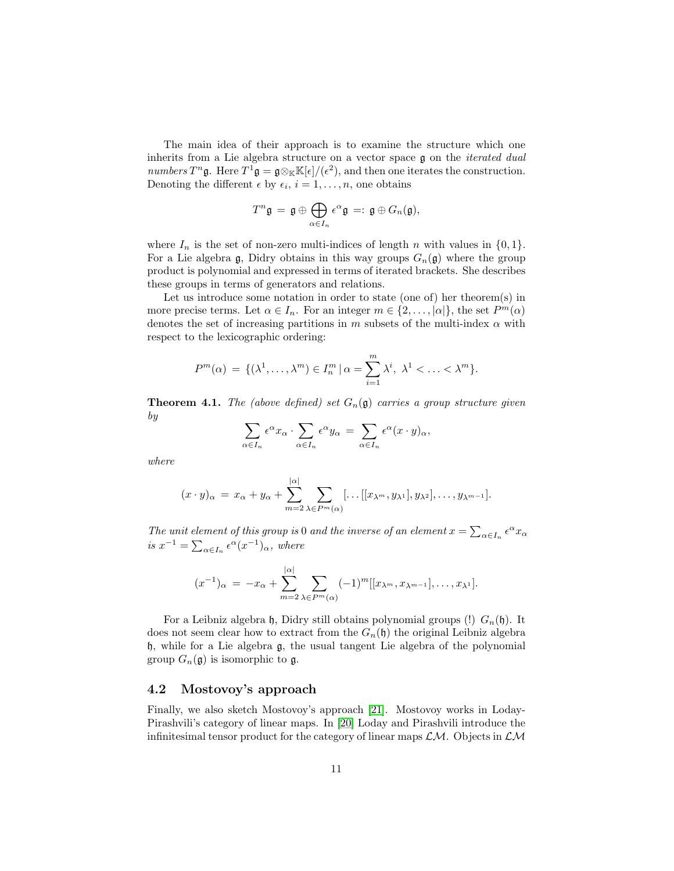The main idea of their approach is to examine the structure which one inherits from a Lie algebra structure on a vector space  $\mathfrak g$  on the *iterated dual* numbers  $T^n$ **g**. Here  $T^1$ **g** = **g** $\otimes_{\mathbb{K}} \mathbb{K}[\epsilon]/(\epsilon^2)$ , and then one iterates the construction. Denoting the different  $\epsilon$  by  $\epsilon_i$ ,  $i = 1, \ldots, n$ , one obtains

$$
T^n \mathfrak{g} = \mathfrak{g} \oplus \bigoplus_{\alpha \in I_n} \epsilon^{\alpha} \mathfrak{g} =: \mathfrak{g} \oplus G_n(\mathfrak{g}),
$$

where  $I_n$  is the set of non-zero multi-indices of length n with values in  $\{0, 1\}$ . For a Lie algebra g, Didry obtains in this way groups  $G_n(\mathfrak{g})$  where the group product is polynomial and expressed in terms of iterated brackets. She describes these groups in terms of generators and relations.

Let us introduce some notation in order to state (one of) her theorem(s) in more precise terms. Let  $\alpha \in I_n$ . For an integer  $m \in \{2, \ldots, |\alpha|\}$ , the set  $P^m(\alpha)$ denotes the set of increasing partitions in m subsets of the multi-index  $\alpha$  with respect to the lexicographic ordering:

$$
P^m(\alpha) = \{(\lambda^1, \ldots, \lambda^m) \in I_n^m \mid \alpha = \sum_{i=1}^m \lambda^i, \lambda^1 < \ldots < \lambda^m\}.
$$

**Theorem 4.1.** The (above defined) set  $G_n(\mathfrak{g})$  carries a group structure given by

$$
\sum_{\alpha \in I_n} \epsilon^{\alpha} x_{\alpha} \cdot \sum_{\alpha \in I_n} \epsilon^{\alpha} y_{\alpha} = \sum_{\alpha \in I_n} \epsilon^{\alpha} (x \cdot y)_{\alpha},
$$

where

$$
(x \cdot y)_{\alpha} = x_{\alpha} + y_{\alpha} + \sum_{m=2}^{|\alpha|} \sum_{\lambda \in P^m(\alpha)} [\dots[[x_{\lambda^m}, y_{\lambda^1}], y_{\lambda^2}], \dots, y_{\lambda^{m-1}}].
$$

The unit element of this group is 0 and the inverse of an element  $x = \sum_{\alpha \in I_n} \epsilon^{\alpha} x_{\alpha}$ is  $x^{-1} = \sum_{\alpha \in I_n} \epsilon^{\alpha} (x^{-1})_{\alpha}$ , where

$$
(x^{-1})_{\alpha} = -x_{\alpha} + \sum_{m=2}^{|\alpha|} \sum_{\lambda \in P^m(\alpha)} (-1)^m [[x_{\lambda^m}, x_{\lambda^{m-1}}], \dots, x_{\lambda^1}].
$$

For a Leibniz algebra h, Didry still obtains polynomial groups (!)  $G_n(\mathfrak{h})$ . It does not seem clear how to extract from the  $G_n(\mathfrak{h})$  the original Leibniz algebra h, while for a Lie algebra g, the usual tangent Lie algebra of the polynomial group  $G_n(\mathfrak{g})$  is isomorphic to  $\mathfrak{g}$ .

#### 4.2 Mostovoy's approach

Finally, we also sketch Mostovoy's approach [\[21\]](#page-19-5). Mostovoy works in Loday-Pirashvili's category of linear maps. In [\[20\]](#page-19-6) Loday and Pirashvili introduce the infinitesimal tensor product for the category of linear maps  $\mathcal{LM}$ . Objects in  $\mathcal{LM}$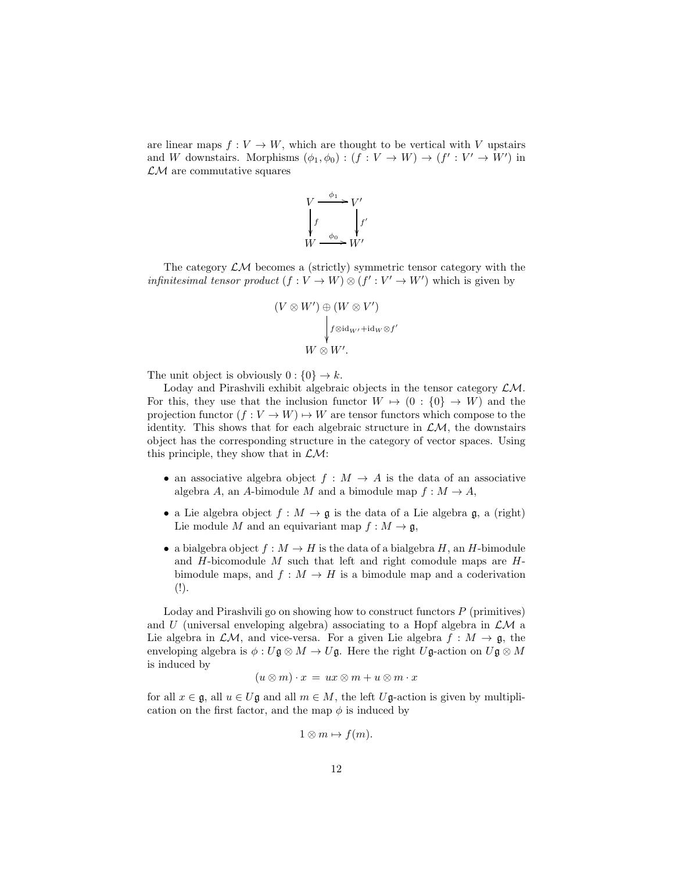are linear maps  $f: V \to W$ , which are thought to be vertical with V upstairs and W downstairs. Morphisms  $(\phi_1, \phi_0) : (f : V \to W) \to (f' : V' \to W')$  in  $\mathcal{L}M$  are commutative squares



The category  $\mathcal{LM}$  becomes a (strictly) symmetric tensor category with the *infinitesimal tensor product*  $(f: V \to W) \otimes (f': V' \to W')$  which is given by

$$
(V \otimes W') \oplus (W \otimes V')
$$
  
\n
$$
\downarrow f \otimes id_{W'} + id_W \otimes f'
$$
  
\n
$$
W \otimes W'.
$$

The unit object is obviously  $0: \{0\} \rightarrow k$ .

Loday and Pirashvili exhibit algebraic objects in the tensor category  $\mathcal{LM}$ . For this, they use that the inclusion functor  $W \mapsto (0 : \{0\} \to W)$  and the projection functor  $(f: V \to W) \to W$  are tensor functors which compose to the identity. This shows that for each algebraic structure in  $\mathcal{L}M$ , the downstairs object has the corresponding structure in the category of vector spaces. Using this principle, they show that in  $\mathcal{LM}$ :

- an associative algebra object  $f : M \to A$  is the data of an associative algebra A, an A-bimodule M and a bimodule map  $f : M \to A$ ,
- a Lie algebra object  $f : M \to \mathfrak{g}$  is the data of a Lie algebra  $\mathfrak{g}$ , a (right) Lie module M and an equivariant map  $f : M \to \mathfrak{g}$ ,
- a bialgebra object  $f : M \to H$  is the data of a bialgebra H, an H-bimodule and  $H$ -bicomodule  $M$  such that left and right comodule maps are  $H$ bimodule maps, and  $f : M \to H$  is a bimodule map and a coderivation  $(!)$ .

Loday and Pirashvili go on showing how to construct functors  $P$  (primitives) and U (universal enveloping algebra) associating to a Hopf algebra in  $\mathcal{LM}$  a Lie algebra in  $\mathcal{LM}$ , and vice-versa. For a given Lie algebra  $f : M \to \mathfrak{g}$ , the enveloping algebra is  $\phi: U\mathfrak{g} \otimes M \to U\mathfrak{g}$ . Here the right  $U\mathfrak{g}$ -action on  $U\mathfrak{g} \otimes M$ is induced by

$$
(u\otimes m)\cdot x = ux\otimes m + u\otimes m\cdot x
$$

for all  $x \in \mathfrak{g}$ , all  $u \in U\mathfrak{g}$  and all  $m \in M$ , the left  $U\mathfrak{g}\text{-action}$  is given by multiplication on the first factor, and the map  $\phi$  is induced by

$$
1\otimes m\mapsto f(m).
$$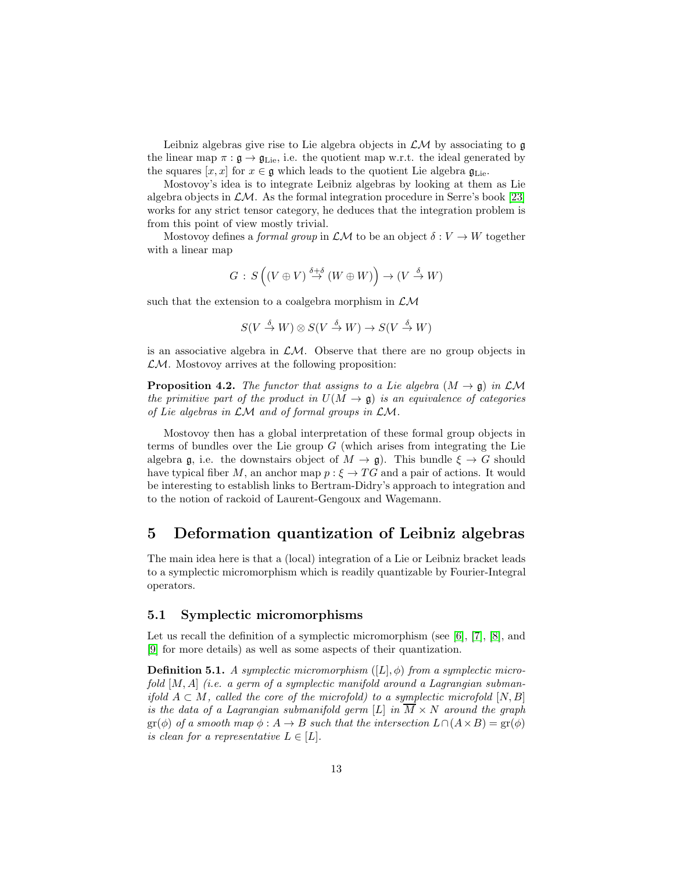Leibniz algebras give rise to Lie algebra objects in  $\mathcal{L}M$  by associating to  $\mathfrak g$ the linear map  $\pi : \mathfrak{g} \to \mathfrak{g}_{\text{Lie}}$ , i.e. the quotient map w.r.t. the ideal generated by the squares  $[x, x]$  for  $x \in \mathfrak{g}$  which leads to the quotient Lie algebra  $\mathfrak{g}_{\mathrm{Lie}}$ .

Mostovoy's idea is to integrate Leibniz algebras by looking at them as Lie algebra objects in  $\mathcal{L}M$ . As the formal integration procedure in Serre's book [\[23\]](#page-19-4) works for any strict tensor category, he deduces that the integration problem is from this point of view mostly trivial.

Mostovoy defines a *formal group* in  $\mathcal{L}M$  to be an object  $\delta: V \to W$  together with a linear map

$$
G\,:\,S\left( \left( V\oplus V\right) \stackrel{\delta +\delta }{\rightarrow }\left( W\oplus W\right) \right) \rightarrow \left( V\stackrel{\delta }{\rightarrow }W\right)
$$

such that the extension to a coalgebra morphism in  $\mathcal{L}\mathcal{M}$ 

$$
S(V \xrightarrow{\delta} W) \otimes S(V \xrightarrow{\delta} W) \to S(V \xrightarrow{\delta} W)
$$

is an associative algebra in  $\mathcal{L}M$ . Observe that there are no group objects in  $\mathcal{LM}$ . Mostovoy arrives at the following proposition:

**Proposition 4.2.** The functor that assigns to a Lie algebra  $(M \rightarrow \mathfrak{g})$  in  $\mathcal{LM}$ the primitive part of the product in  $U(M \to \mathfrak{g})$  is an equivalence of categories of Lie algebras in  $LM$  and of formal groups in  $LM$ .

Mostovoy then has a global interpretation of these formal group objects in terms of bundles over the Lie group  $G$  (which arises from integrating the Lie algebra g, i.e. the downstairs object of  $M \to \mathfrak{g}$ ). This bundle  $\xi \to G$  should have typical fiber M, an anchor map  $p : \xi \to TG$  and a pair of actions. It would be interesting to establish links to Bertram-Didry's approach to integration and to the notion of rackoid of Laurent-Gengoux and Wagemann.

## 5 Deformation quantization of Leibniz algebras

The main idea here is that a (local) integration of a Lie or Leibniz bracket leads to a symplectic micromorphism which is readily quantizable by Fourier-Integral operators.

### 5.1 Symplectic micromorphisms

Let us recall the definition of a symplectic micromorphism (see [\[6\]](#page-18-8), [\[7\]](#page-18-9), [\[8\]](#page-18-10), and [\[9\]](#page-18-11) for more details) as well as some aspects of their quantization.

**Definition 5.1.** A symplectic micromorphism  $([L], \phi)$  from a symplectic microfold  $[M, A]$  (i.e. a germ of a symplectic manifold around a Lagrangian submanifold  $A \subset M$ , called the core of the microfold) to a symplectic microfold  $[N, B]$ is the data of a Lagrangian submanifold germ [L] in  $\overline{M} \times N$  around the graph  $\text{gr}(\phi)$  of a smooth map  $\phi: A \to B$  such that the intersection  $L \cap (A \times B) = \text{gr}(\phi)$ is clean for a representative  $L \in [L]$ .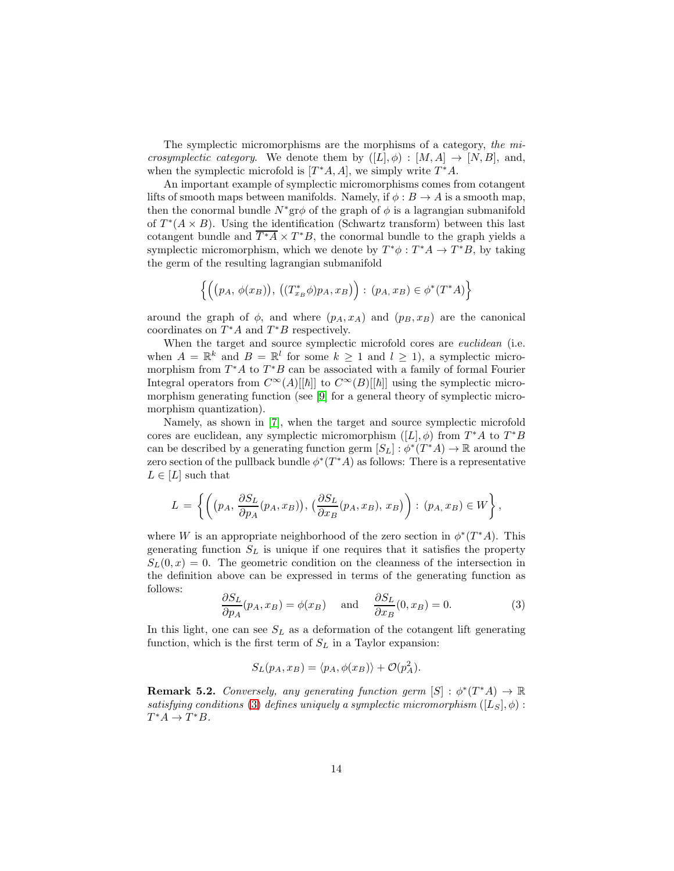The symplectic micromorphisms are the morphisms of a category, the microsymplectic category. We denote them by  $([L], \phi) : [M, A] \to [N, B]$ , and, when the symplectic microfold is  $[T^*A, A]$ , we simply write  $T^*A$ .

An important example of symplectic micromorphisms comes from cotangent lifts of smooth maps between manifolds. Namely, if  $\phi : B \to A$  is a smooth map, then the conormal bundle  $N^*$ gr $\phi$  of the graph of  $\phi$  is a lagrangian submanifold of  $T^*(A \times B)$ . Using the identification (Schwartz transform) between this last cotangent bundle and  $\overline{T^*A} \times T^*B$ , the conormal bundle to the graph yields a symplectic micromorphism, which we denote by  $T^*\phi : T^*A \to T^*B$ , by taking the germ of the resulting lagrangian submanifold

$$
\left\{ \Big( \big(p_A, \, \phi(x_B) \big), \, \big( (T_{x_B}^* \phi) p_A, x_B \big) \Big) : \, (p_A, x_B) \in \phi^*(T^*A) \right\}
$$

around the graph of  $\phi$ , and where  $(p_A, x_A)$  and  $(p_B, x_B)$  are the canonical coordinates on  $T^*A$  and  $T^*B$  respectively.

When the target and source symplectic microfold cores are *euclidean* (i.e. when  $A = \mathbb{R}^k$  and  $B = \mathbb{R}^l$  for some  $k \geq 1$  and  $l \geq 1$ , a symplectic micromorphism from  $T^*A$  to  $T^*B$  can be associated with a family of formal Fourier Integral operators from  $C^{\infty}(A)[[\hbar]]$  to  $C^{\infty}(B)[[\hbar]]$  using the symplectic micromorphism generating function (see [\[9\]](#page-18-11) for a general theory of symplectic micromorphism quantization).

Namely, as shown in [\[7\]](#page-18-9), when the target and source symplectic microfold cores are euclidean, any symplectic micromorphism  $([L], \phi)$  from  $T^*A$  to  $T^*B$ can be described by a generating function germ  $[S_L] : \phi^*(T^*A) \to \mathbb{R}$  around the zero section of the pullback bundle  $\phi^*(T^*A)$  as follows: There is a representative  $L \in [L]$  such that

$$
L = \left\{ \left( (p_A, \frac{\partial S_L}{\partial p_A}(p_A, x_B)), \left( \frac{\partial S_L}{\partial x_B}(p_A, x_B), x_B \right) \right) : (p_A, x_B) \in W \right\},\,
$$

where W is an appropriate neighborhood of the zero section in  $\phi^*(T^*A)$ . This generating function  $S_L$  is unique if one requires that it satisfies the property  $S_L(0, x) = 0$ . The geometric condition on the cleanness of the intersection in the definition above can be expressed in terms of the generating function as follows:

<span id="page-13-0"></span>
$$
\frac{\partial S_L}{\partial p_A}(p_A, x_B) = \phi(x_B) \quad \text{and} \quad \frac{\partial S_L}{\partial x_B}(0, x_B) = 0. \tag{3}
$$

In this light, one can see  $S_L$  as a deformation of the cotangent lift generating function, which is the first term of  $S_L$  in a Taylor expansion:

$$
S_L(p_A, x_B) = \langle p_A, \phi(x_B) \rangle + \mathcal{O}(p_A^2).
$$

**Remark 5.2.** Conversely, any generating function germ  $[S] : \phi^*(T^*A) \to \mathbb{R}$ satisfying conditions [\(3\)](#page-13-0) defines uniquely a symplectic micromorphism  $([L<sub>S</sub>], \phi)$ :  $T^*A \to T^*B.$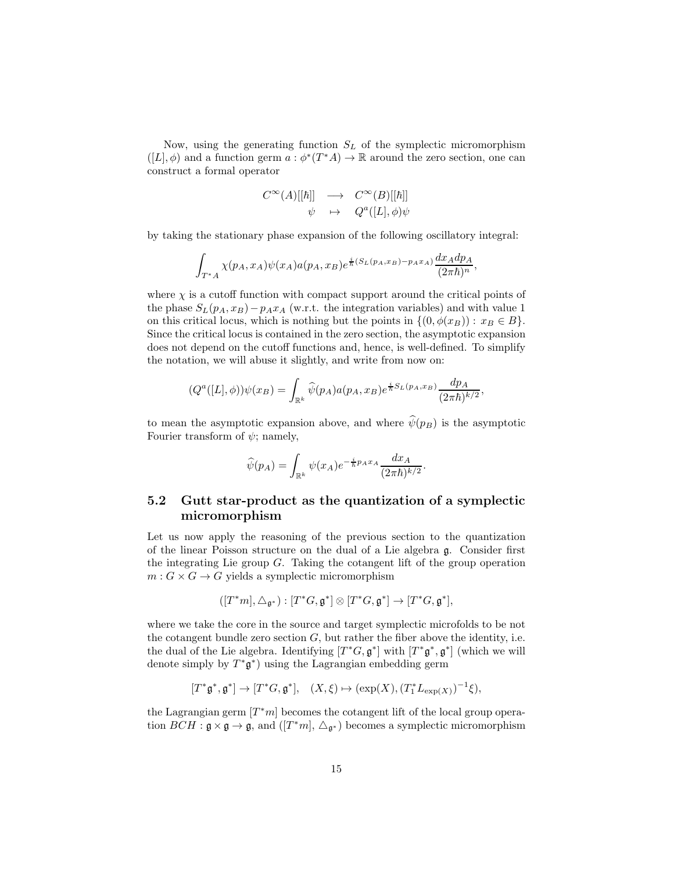Now, using the generating function  $S_L$  of the symplectic micromorphism  $([L], \phi)$  and a function germ  $a : \phi^*(T^*A) \to \mathbb{R}$  around the zero section, one can construct a formal operator

$$
C^{\infty}(A)[[\hbar]] \longrightarrow C^{\infty}(B)[[\hbar]]\n\psi \mapsto Q^{a}([L], \phi)\psi
$$

by taking the stationary phase expansion of the following oscillatory integral:

$$
\int_{T^*A} \chi(p_A, x_A) \psi(x_A) a(p_A, x_B) e^{\frac{i}{\hbar}(S_L(p_A, x_B) - p_A x_A)} \frac{dx_A dp_A}{(2\pi\hbar)^n},
$$

where  $\chi$  is a cutoff function with compact support around the critical points of the phase  $S_L(p_A, x_B) - p_A x_A$  (w.r.t. the integration variables) and with value 1 on this critical locus, which is nothing but the points in  $\{(0, \phi(x_B)) : x_B \in B\}.$ Since the critical locus is contained in the zero section, the asymptotic expansion does not depend on the cutoff functions and, hence, is well-defined. To simplify the notation, we will abuse it slightly, and write from now on:

$$
(Q^{a}([L], \phi))\psi(x_{B}) = \int_{\mathbb{R}^{k}} \widehat{\psi}(p_{A}) a(p_{A}, x_{B}) e^{\frac{i}{\hbar}S_{L}(p_{A}, x_{B})} \frac{dp_{A}}{(2\pi\hbar)^{k/2}},
$$

to mean the asymptotic expansion above, and where  $\hat{\psi}(p_B)$  is the asymptotic Fourier transform of  $\psi$ ; namely,

$$
\widehat{\psi}(p_A) = \int_{\mathbb{R}^k} \psi(x_A) e^{-\frac{i}{\hbar}p_A x_A} \frac{dx_A}{(2\pi\hbar)^{k/2}}.
$$

### 5.2 Gutt star-product as the quantization of a symplectic micromorphism

Let us now apply the reasoning of the previous section to the quantization of the linear Poisson structure on the dual of a Lie algebra g. Consider first the integrating Lie group  $G$ . Taking the cotangent lift of the group operation  $m: G \times G \rightarrow G$  yields a symplectic micromorphism

$$
([T^*m], \triangle_{\mathfrak{g}^*}) : [T^*G, \mathfrak{g}^*] \otimes [T^*G, \mathfrak{g}^*] \to [T^*G, \mathfrak{g}^*],
$$

where we take the core in the source and target symplectic microfolds to be not the cotangent bundle zero section  $G$ , but rather the fiber above the identity, i.e. the dual of the Lie algebra. Identifying  $[T^*G, \mathfrak{g}^*]$  with  $[T^*\mathfrak{g}^*, \mathfrak{g}^*]$  (which we will denote simply by  $T^*\mathfrak{g}^*$  using the Lagrangian embedding germ

$$
[T^*\mathfrak{g}^*,\mathfrak{g}^*]\to [T^*G,\mathfrak{g}^*],\quad (X,\xi)\mapsto (\exp(X),(T_1^*L_{\exp(X)})^{-1}\xi),
$$

the Lagrangian germ  $[T^*m]$  becomes the cotangent lift of the local group operation  $BCH : \mathfrak{g} \times \mathfrak{g} \to \mathfrak{g}$ , and  $([T^*m], \triangle_{\mathfrak{g}^*})$  becomes a symplectic micromorphism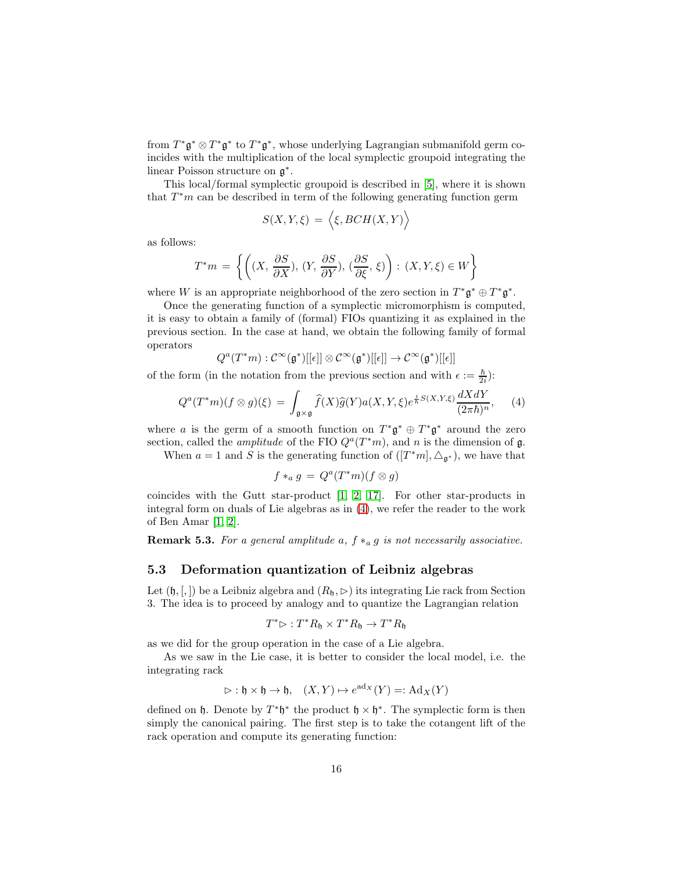from  $T^*\mathfrak{g}^*\otimes T^*\mathfrak{g}^*$  to  $T^*\mathfrak{g}^*$ , whose underlying Lagrangian submanifold germ coincides with the multiplication of the local symplectic groupoid integrating the linear Poisson structure on  $\mathfrak{g}^*$ .

This local/formal symplectic groupoid is described in [\[5\]](#page-18-12), where it is shown that  $T^*m$  can be described in term of the following generating function germ

$$
S(X,Y,\xi) = \langle \xi, BCH(X,Y) \rangle
$$

as follows:

$$
T^*m = \left\{ \left( (X, \frac{\partial S}{\partial X}), (Y, \frac{\partial S}{\partial Y}), (\frac{\partial S}{\partial \xi}, \xi) \right) : (X, Y, \xi) \in W \right\}
$$

where W is an appropriate neighborhood of the zero section in  $T^*\mathfrak{g}^* \oplus T^*\mathfrak{g}^*$ .

Once the generating function of a symplectic micromorphism is computed, it is easy to obtain a family of (formal) FIOs quantizing it as explained in the previous section. In the case at hand, we obtain the following family of formal operators

$$
Q^a(T^*m): \mathcal{C}^\infty(\mathfrak{g}^*)[[\epsilon]] \otimes \mathcal{C}^\infty(\mathfrak{g}^*)[[\epsilon]] \to \mathcal{C}^\infty(\mathfrak{g}^*)[[\epsilon]]
$$

of the form (in the notation from the previous section and with  $\epsilon := \frac{\hbar}{2i}$ ):

$$
Q^{a}(T^{*}m)(f\otimes g)(\xi) = \int_{\mathfrak{g}\times\mathfrak{g}} \widehat{f}(X)\widehat{g}(Y)a(X,Y,\xi)e^{\frac{i}{\hbar}S(X,Y,\xi)}\frac{dXdY}{(2\pi\hbar)^{n}},\tag{4}
$$

where a is the germ of a smooth function on  $T^*\mathfrak{g}^* \oplus T^*\mathfrak{g}^*$  around the zero section, called the *amplitude* of the FIO  $Q^a(T^*m)$ , and n is the dimension of  $\mathfrak{g}$ .

When  $a = 1$  and S is the generating function of  $([T^*m], \Delta_{\mathfrak{g}^*})$ , we have that

<span id="page-15-0"></span>
$$
f *_a g = Q^a(T^*m)(f \otimes g)
$$

coincides with the Gutt star-product [\[1,](#page-18-13) [2,](#page-18-14) [17\]](#page-19-7). For other star-products in integral form on duals of Lie algebras as in [\(4\)](#page-15-0), we refer the reader to the work of Ben Amar [\[1,](#page-18-13) [2\]](#page-18-14).

**Remark 5.3.** For a general amplitude a,  $f *_{a} g$  is not necessarily associative.

### 5.3 Deformation quantization of Leibniz algebras

Let  $(\mathfrak{h}, [,])$  be a Leibniz algebra and  $(R_{\mathfrak{h}}, \triangleright)$  its integrating Lie rack from Section 3. The idea is to proceed by analogy and to quantize the Lagrangian relation

$$
T^*\triangleright : T^*R_{\mathfrak{h}} \times T^*R_{\mathfrak{h}} \to T^*R_{\mathfrak{h}}
$$

as we did for the group operation in the case of a Lie algebra.

As we saw in the Lie case, it is better to consider the local model, i.e. the integrating rack

$$
\vartriangleright : \mathfrak{h} \times \mathfrak{h} \to \mathfrak{h}, \quad (X, Y) \mapsto e^{\mathrm{ad}_X}(Y) =: \mathrm{Ad}_X(Y)
$$

defined on  $\mathfrak{h}$ . Denote by  $T^*\mathfrak{h}^*$  the product  $\mathfrak{h} \times \mathfrak{h}^*$ . The symplectic form is then simply the canonical pairing. The first step is to take the cotangent lift of the rack operation and compute its generating function: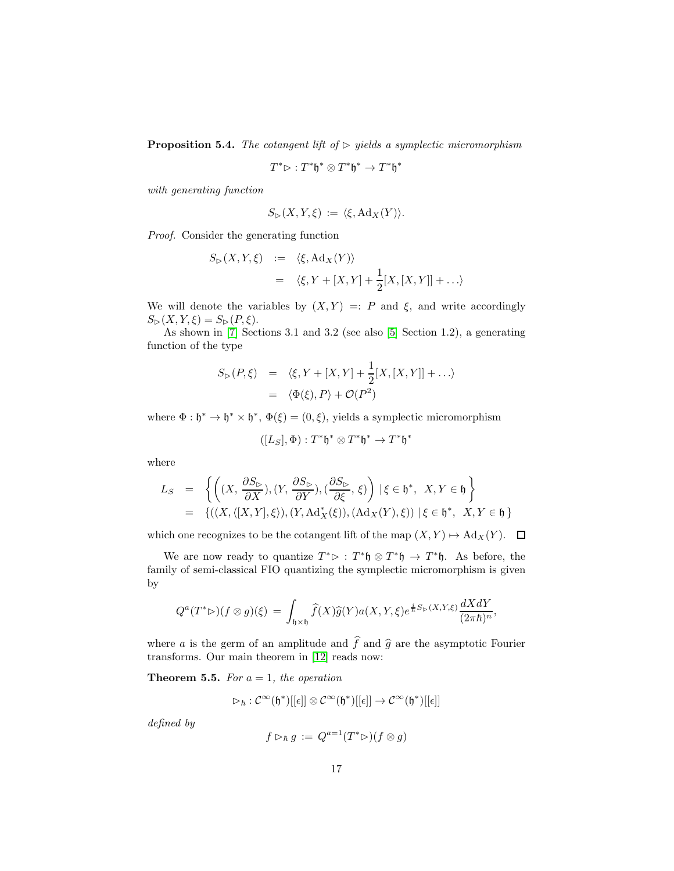**Proposition 5.4.** The cotangent lift of  $\triangleright$  yields a symplectic micromorphism

$$
T^*\rhd:T^*\mathfrak{h}^*\otimes T^*\mathfrak{h}^*\to T^*\mathfrak{h}^*
$$

with generating function

$$
S_{\triangleright}(X,Y,\xi) := \langle \xi, \mathrm{Ad}_X(Y) \rangle.
$$

Proof. Consider the generating function

$$
S_{\triangleright}(X, Y, \xi) := \langle \xi, \mathrm{Ad}_X(Y) \rangle
$$
  
=  $\langle \xi, Y + [X, Y] + \frac{1}{2}[X, [X, Y]] + \dots \rangle$ 

We will denote the variables by  $(X, Y) =: P$  and  $\xi$ , and write accordingly  $S_{\triangleright}(X, Y, \xi) = S_{\triangleright}(P, \xi).$ 

As shown in [\[7\]](#page-18-9) Sections 3.1 and 3.2 (see also [\[5\]](#page-18-12) Section 1.2), a generating function of the type

$$
S_{\triangleright}(P,\xi) = \langle \xi, Y + [X,Y] + \frac{1}{2}[X,[X,Y]] + \ldots \rangle
$$
  
=  $\langle \Phi(\xi), P \rangle + \mathcal{O}(P^2)$ 

where  $\Phi : \mathfrak{h}^* \to \mathfrak{h}^* \times \mathfrak{h}^*, \ \Phi(\xi) = (0, \xi),$  yields a symplectic micromorphism

$$
([L_S], \Phi): T^* \mathfrak{h}^* \otimes T^* \mathfrak{h}^* \to T^* \mathfrak{h}^*
$$

where

$$
L_S = \left\{ \left( (X, \frac{\partial S_{\triangleright}}{\partial X}), (Y, \frac{\partial S_{\triangleright}}{\partial Y}), (\frac{\partial S_{\triangleright}}{\partial \xi}, \xi) \right) \mid \xi \in \mathfrak{h}^*, \ X, Y \in \mathfrak{h} \right\}
$$
  
=  $\left\{ ((X, \langle [X, Y], \xi \rangle), (Y, \mathrm{Ad}_X^*(\xi)), (\mathrm{Ad}_X(Y), \xi)) \mid \xi \in \mathfrak{h}^*, \ X, Y \in \mathfrak{h} \right\}$ 

which one recognizes to be the cotangent lift of the map  $(X, Y) \mapsto \text{Ad}_X(Y)$ .  $\Box$ 

We are now ready to quantize  $T^* \triangleright : T^* \mathfrak{h} \otimes T^* \mathfrak{h} \to T^* \mathfrak{h}$ . As before, the family of semi-classical FIO quantizing the symplectic micromorphism is given by

$$
Q^{a}(T^{*}\rhd)(f\otimes g)(\xi) = \int_{\mathfrak{h}\times\mathfrak{h}} \widehat{f}(X)\widehat{g}(Y)a(X,Y,\xi)e^{\frac{i}{\hbar}S_{\rhd}(X,Y,\xi)}\frac{dXdY}{(2\pi\hbar)^{n}},
$$

where a is the germ of an amplitude and  $\hat{f}$  and  $\hat{g}$  are the asymptotic Fourier transforms. Our main theorem in [\[12\]](#page-18-15) reads now:

**Theorem 5.5.** For  $a = 1$ , the operation

$$
\rhd_\hbar: \mathcal{C}^\infty(\mathfrak{h}^*)[[\epsilon]] \otimes \mathcal{C}^\infty(\mathfrak{h}^*)[[\epsilon]] \to \mathcal{C}^\infty(\mathfrak{h}^*)[[\epsilon]]
$$

defined by

$$
f \rhd_{\hbar} g := Q^{a=1}(T^* \rhd)(f \otimes g)
$$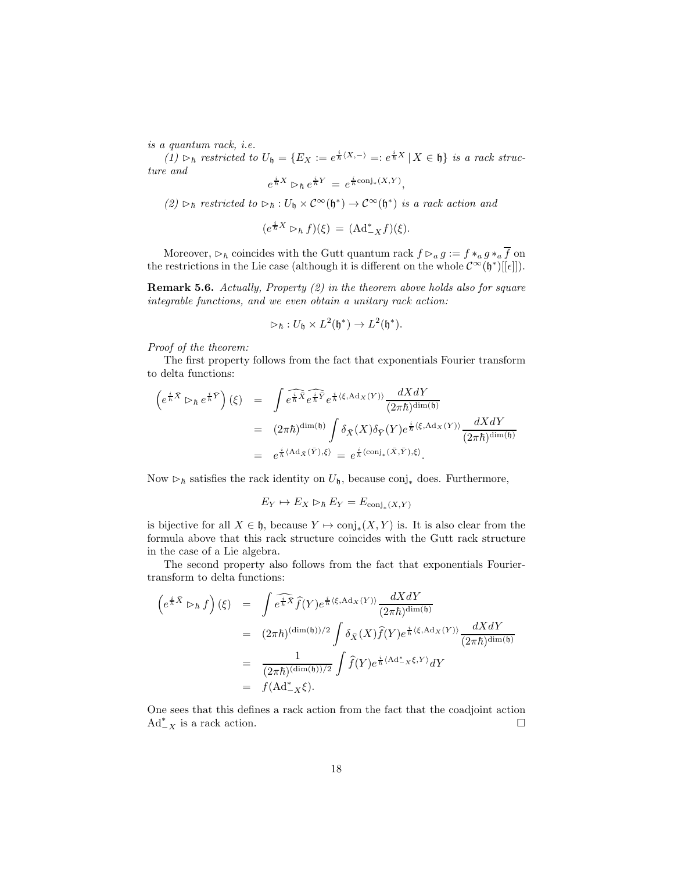is a quantum rack, i.e.

(1) ⊳<sup>h</sup> restricted to  $U_{\mathfrak{h}} = \{E_X := e^{\frac{i}{\hbar}\langle X,-\rangle} =: e^{\frac{i}{\hbar}X} | X \in \mathfrak{h}\}\$ is a rack structure and

$$
e^{\frac{i}{\hbar}X} \triangleright_{\hbar} e^{\frac{i}{\hbar}Y} = e^{\frac{i}{\hbar}\text{conj}_*(X,Y)},
$$

(2) ⊳<sup>h</sup> restricted to ⊳<sub>h</sub>:  $U_0 \times C^{\infty}(\mathfrak{h}^*) \to C^{\infty}(\mathfrak{h}^*)$  is a rack action and

$$
(e^{\frac{i}{\hbar}X}\rhd_{\hbar}f)(\xi) = (\mathrm{Ad}^*_{-X}f)(\xi).
$$

Moreover,  $\triangleright_{\hbar}$  coincides with the Gutt quantum rack  $f \triangleright_{a} g := f *_{a} g *_{a} \overline{f}$  on the restrictions in the Lie case (although it is different on the whole  $\mathcal{C}^{\infty}(\mathfrak{h}^*)[[\epsilon]]$ ).

Remark 5.6. Actually, Property (2) in the theorem above holds also for square integrable functions, and we even obtain a unitary rack action:

$$
\rhd_{\hbar} : U_{\mathfrak{h}} \times L^2(\mathfrak{h}^*) \to L^2(\mathfrak{h}^*).
$$

Proof of the theorem:

The first property follows from the fact that exponentials Fourier transform to delta functions:

$$
\begin{array}{rcl} \left(e^{\frac{i}{\hbar}\bar{X}}\rhd_{\hbar}e^{\frac{i}{\hbar}\bar{Y}}\right)(\xi)&=&\displaystyle\int\widehat{e^{\frac{i}{\hbar}\bar{X}}e^{\frac{i}{\hbar}\bar{Y}}}e^{\frac{i}{\hbar}\langle\xi,\mathrm{Ad}_{X}(Y)\rangle}\frac{dXdY}{(2\pi\hbar)^{\dim(\mathfrak{h})}}\\ &=&(2\pi\hbar)^{\dim(\mathfrak{h})}\displaystyle\int\delta_{\bar{X}}(X)\delta_{\bar{Y}}(Y)e^{\frac{i}{\hbar}\langle\xi,\mathrm{Ad}_{X}(Y)\rangle}\frac{dXdY}{(2\pi\hbar)^{\dim(\mathfrak{h})}}\\ &=&e^{\frac{i}{\hbar}\langle\mathrm{Ad}_{\bar{X}}(\bar{Y}),\xi\rangle}=e^{\frac{i}{\hbar}\langle\mathrm{conj}_{*}(\bar{X},\bar{Y}),\xi\rangle}. \end{array}
$$

Now  $\triangleright_{\hbar}$  satisfies the rack identity on  $U_{\mathfrak{h}}$ , because conj<sub>\*</sub> does. Furthermore,

$$
E_Y \mapsto E_X \triangleright_{\hbar} E_Y = E_{\text{conj}_*(X,Y)}
$$

is bijective for all  $X \in \mathfrak{h}$ , because  $Y \mapsto \text{conj}_*(X, Y)$  is. It is also clear from the formula above that this rack structure coincides with the Gutt rack structure in the case of a Lie algebra.

The second property also follows from the fact that exponentials Fouriertransform to delta functions:

$$
\begin{array}{rcl}\n\left(e^{\frac{i}{\hbar}\bar{X}}\triangleright_{\hbar}f\right)(\xi) & = & \displaystyle\int e^{\frac{\widehat{i}}{\hbar}\bar{X}}\widehat{f}(Y)e^{\frac{i}{\hbar}\langle\xi,\mathrm{Ad}_{X}(Y)\rangle}\frac{dXdY}{(2\pi\hbar)^{\dim(\mathfrak{h})}} \\
& = & (2\pi\hbar)^{(\dim(\mathfrak{h}))/2}\int \delta_{\bar{X}}(X)\widehat{f}(Y)e^{\frac{i}{\hbar}\langle\xi,\mathrm{Ad}_{X}(Y)\rangle}\frac{dXdY}{(2\pi\hbar)^{\dim(\mathfrak{h})}} \\
& = & \displaystyle\frac{1}{(2\pi\hbar)^{(\dim(\mathfrak{h}))/2}}\int \widehat{f}(Y)e^{\frac{i}{\hbar}\langle\mathrm{Ad}^{*}_{-X}\xi,Y\rangle}dY \\
& = & f(\mathrm{Ad}^{*}_{-X}\xi).\n\end{array}
$$

One sees that this defines a rack action from the fact that the coadjoint action  $Ad^*_{-X}$  is a rack action.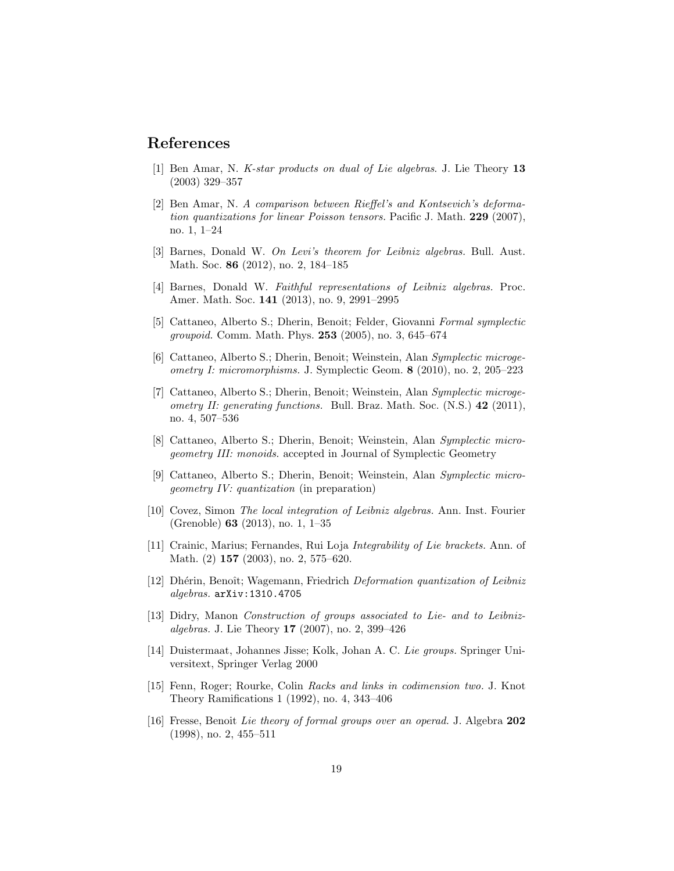## <span id="page-18-13"></span>References

- <span id="page-18-14"></span>[1] Ben Amar, N. K-star products on dual of Lie algebras. J. Lie Theory 13 (2003) 329–357
- [2] Ben Amar, N. A comparison between Rieffel's and Kontsevich's deformation quantizations for linear Poisson tensors. Pacific J. Math. 229 (2007), no. 1, 1–24
- <span id="page-18-2"></span><span id="page-18-1"></span>[3] Barnes, Donald W. On Levi's theorem for Leibniz algebras. Bull. Aust. Math. Soc. 86 (2012), no. 2, 184–185
- <span id="page-18-12"></span>[4] Barnes, Donald W. Faithful representations of Leibniz algebras. Proc. Amer. Math. Soc. 141 (2013), no. 9, 2991–2995
- [5] Cattaneo, Alberto S.; Dherin, Benoit; Felder, Giovanni Formal symplectic *groupoid.* Comm. Math. Phys. **253** (2005), no. 3, 645–674
- <span id="page-18-8"></span>[6] Cattaneo, Alberto S.; Dherin, Benoit; Weinstein, Alan Symplectic microgeometry I: micromorphisms. J. Symplectic Geom. 8 (2010), no. 2, 205–223
- <span id="page-18-9"></span>[7] Cattaneo, Alberto S.; Dherin, Benoit; Weinstein, Alan Symplectic microgeometry II: generating functions. Bull. Braz. Math. Soc.  $(N.S.)$  42 (2011), no. 4, 507–536
- <span id="page-18-10"></span>[8] Cattaneo, Alberto S.; Dherin, Benoit; Weinstein, Alan Symplectic microgeometry III: monoids. accepted in Journal of Symplectic Geometry
- <span id="page-18-11"></span>[9] Cattaneo, Alberto S.; Dherin, Benoit; Weinstein, Alan Symplectic microgeometry IV: quantization (in preparation)
- <span id="page-18-3"></span>[10] Covez, Simon The local integration of Leibniz algebras. Ann. Inst. Fourier (Grenoble) 63 (2013), no. 1, 1–35
- <span id="page-18-4"></span>[11] Crainic, Marius; Fernandes, Rui Loja Integrability of Lie brackets. Ann. of Math. (2) **157** (2003), no. 2, 575–620.
- <span id="page-18-15"></span>[12] Dhérin, Benoît; Wagemann, Friedrich Deformation quantization of Leibniz algebras. arXiv:1310.4705
- <span id="page-18-7"></span>[13] Didry, Manon Construction of groups associated to Lie- and to Leibnizalgebras. J. Lie Theory 17 (2007), no. 2, 399–426
- <span id="page-18-0"></span>[14] Duistermaat, Johannes Jisse; Kolk, Johan A. C. Lie groups. Springer Universitext, Springer Verlag 2000
- <span id="page-18-5"></span>[15] Fenn, Roger; Rourke, Colin Racks and links in codimension two. J. Knot Theory Ramifications 1 (1992), no. 4, 343–406
- <span id="page-18-6"></span>[16] Fresse, Benoit Lie theory of formal groups over an operad. J. Algebra 202 (1998), no. 2, 455–511